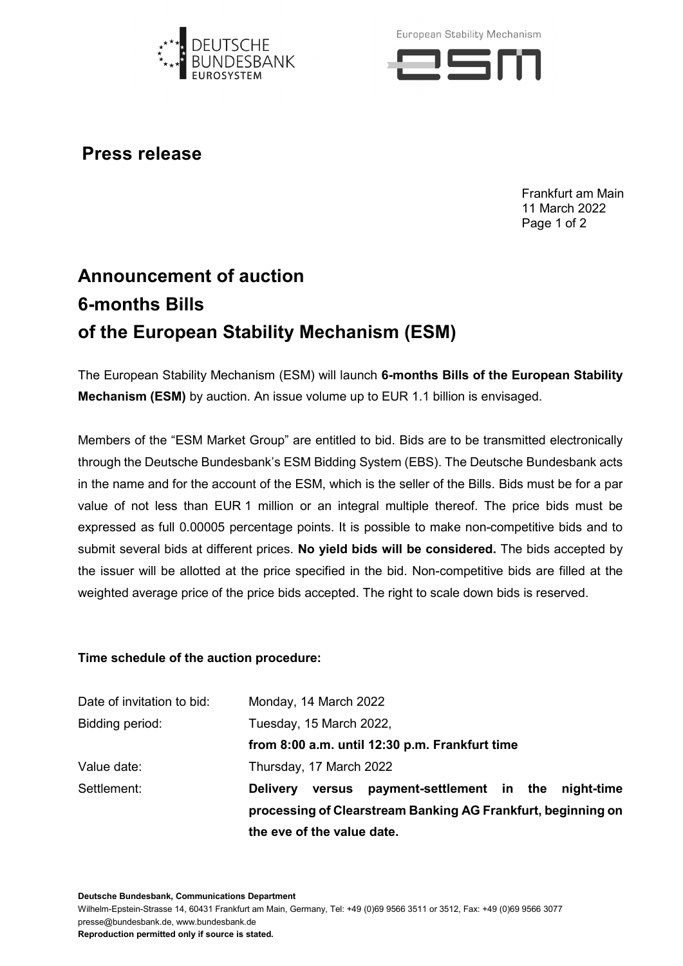

European Stability Mechanism



**Press release**

Frankfurt am Main 11 March 2022 Page 1 of 2

## **Announcement of auction 6-months Bills of the European Stability Mechanism (ESM)**

The European Stability Mechanism (ESM) will launch **6-months Bills of the European Stability Mechanism (ESM)** by auction. An issue volume up to EUR 1.1 billion is envisaged.

Members of the "ESM Market Group" are entitled to bid. Bids are to be transmitted electronically through the Deutsche Bundesbank's ESM Bidding System (EBS). The Deutsche Bundesbank acts in the name and for the account of the ESM, which is the seller of the Bills. Bids must be for a par value of not less than EUR 1 million or an integral multiple thereof. The price bids must be expressed as full 0.00005 percentage points. It is possible to make non-competitive bids and to submit several bids at different prices. **No yield bids will be considered.** The bids accepted by the issuer will be allotted at the price specified in the bid. Non-competitive bids are filled at the weighted average price of the price bids accepted. The right to scale down bids is reserved.

## **Time schedule of the auction procedure:**

| from 8:00 a.m. until 12:30 p.m. Frankfurt time |  |
|------------------------------------------------|--|
|                                                |  |
|                                                |  |
|                                                |  |
|                                                |  |
|                                                |  |
|                                                |  |